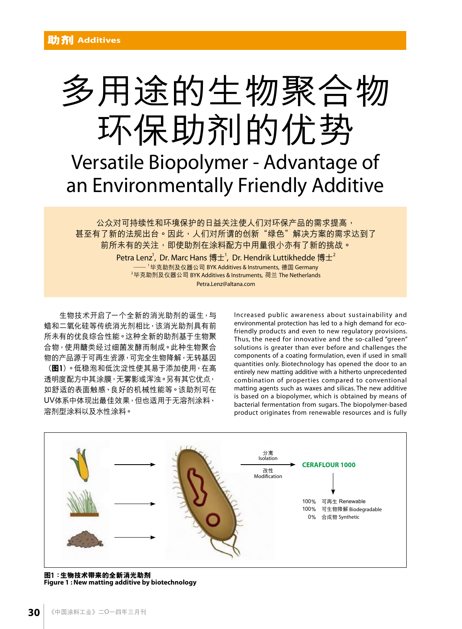

公众对可持续性和环境保护的日益关注使人们对环保产品的需求提高, 甚至有了新的法规出台。因此,人们对所谓的创新"绿色"解决方案的需求达到了 前所未有的关注,即使助剂在涂料配方中用量很小亦有了新的挑战。

Petra Lenz $^{\rm l}$ , Dr. Marc Hans 博士 $^{\rm l}$ , Dr. Hendrik Luttikhedde 博士 $^{\rm 2}$ — <sup>1</sup>毕克助剂及仪器公司 BYK Additives & Instruments, 德国 Germany <sup>2</sup>毕克助剂及仪器公司 BYK Additives & Instruments, 荷兰 The Netherlands Petra.Lenz@altana.com

生物技术开启了一个全新的消光助剂的诞生,与 蜡和二氧化硅等传统消光剂相比,该消光助剂具有前 所未有的优良综合性能。这种全新的助剂基于生物聚 合物,使用醣类经过细菌发酵而制成。此种生物聚合 物的产品源于可再生资源,可完全生物降解,无转基因

(**圖**1)。低穩泡和低沈澱性使其易於添加使用,在高 透明度配方中其涂膜,无雾影或浑浊。另有其它优点, 如舒适的表面触感、良好的机械性能等。该助剂可在 UV体系中体现出最佳效果,但也适用于无溶剂涂料、 溶劑型塗料以及水性塗料。

Increased public awareness about sustainability and environmental protection has led to a high demand for ecofriendly products and even to new regulatory provisions. Thus, the need for innovative and the so-called "green" solutions is greater than ever before and challenges the components of a coating formulation, even if used in small quantities only. Biotechnology has opened the door to an entirely new matting additive with a hitherto unprecedented combination of properties compared to conventional matting agents such as waxes and silicas. The new additive is based on a biopolymer, which is obtained by means of bacterial fermentation from sugars. The biopolymer-based product originates from renewable resources and is fully



**圖1:生物技術帶來的全新消光助劑 Figure 1 : New matting additive by biotechnology**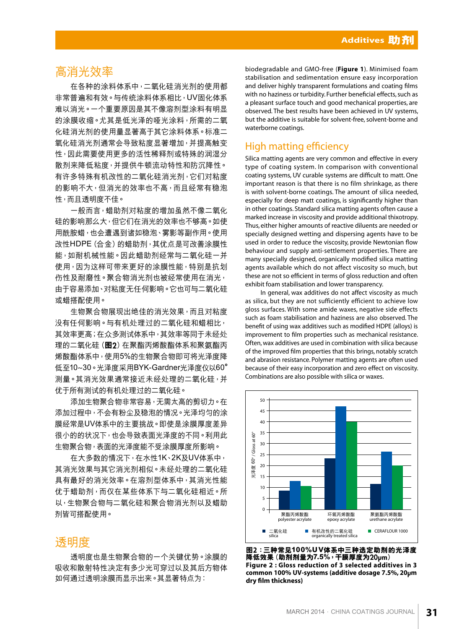## 高消光效率

在各种的涂料体系中,二氧化硅消光剂的使用都 非常普遍和有效。与传统涂料体系相比,UV固化体系 难以消光。一个重要原因是其不像溶剂型涂料有明显 的涂膜收缩。尤其是低光泽的哑光涂料,所需的二氧 化硅消光剂的使用量显著高于其它涂料体系。标准二 氧化硅消光剂通常会导致粘度显著增加,并提高触变 性,因此需要使用更多的活性稀释剂或特殊的润湿分 散劑來降低粘度,並提供牛頓流動特性和防沉降性。 有許多特殊有機改性的二氧化硅消光劑,它們對粘度 的影响不大,但消光的效率也不高,而且经常有稳泡 性,而且透明度不佳。

一般而言,蜡助剂对粘度的增加虽然不像二氧化 硅的影响那么大,但它们在消光的效率也不够高。如使 用酰胺蜡,也会遭遇到诸如稳泡、雾影等副作用。使用 改性HDPE(合金)的蜡助剂,其优点是可改善涂膜性 能,如耐机械性能。因此蜡助剂经常与二氧化硅一并 使用,因为这样可带来更好的涂膜性能,特别是抗划 伤性及耐磨性。聚合物消光剂也被经常使用在消光, 由于容易添加、对粘度无仟何影响。它也可与二氧化硅 或蠟搭配使用。

生物聚合物展现出绝佳的消光效果,而且对粘度 没有任何影响。与有机处理过的二氧化硅和蜡相比, 其效率更高;在众多测试体系中,其效率等同于未经处 理的二氧化硅(图2)在聚酯丙烯酸酯体系和聚氨酯丙 烯酸酯体系中,使用5%的生物聚合物即可将光泽度降 低至10~30。光澤度采用BYK-Gardner光澤度儀以60**°** 测量。其消光效果通常接近未经处理的二氧化硅,并 优于所有测试的有机处理过的二氧化硅。

添加生物聚合物非常容易,无需太高的剪切力。在 添加过程中,不会有粉尘及稳泡的情况。光泽均匀的涂 膜经常是UV体系中的主要挑战。即使是涂膜厚度差异 很小的的狀況下,也會導致表面光澤度的不同。利用此 生物聚合物,表面的光泽度能不受涂膜厚度所影响。

在大多数的情况下,在水性1K、2K及UV体系中, 其消光效果与其它消光剂相似。未经处理的二氧化硅 具有最好的消光效率。在溶剂型体系中,其消光性能 优于蜡助剂,而仅在某些体系下与二氧化硅相近。所 以,生物聚合物与二氧化硅和聚合物消光剂以及蜡助 劑皆可搭配使用。

# 透明度

透明度也是生物聚合物的一个关键优势。涂膜的 吸收和散射特性决定有多少光可穿过以及其后方物体 如何通过透明涂膜而显示出来。其显著特点为:

biodegradable and GMO-free (**Figure 1**). Minimised foam stabilisation and sedimentation ensure easy incorporation and deliver highly transparent formulations and coating films with no haziness or turbidity. Further beneficial effects, such as a pleasant surface touch and good mechanical properties, are observed. The best results have been achieved in UV systems, but the additive is suitable for solvent-free, solvent-borne and waterborne coatings.

## High matting efficiency

Silica matting agents are very common and effective in every type of coating system. In comparison with conventional coating systems, UV curable systems are difficult to matt. One important reason is that there is no film shrinkage, as there is with solvent-borne coatings. The amount of silica needed, especially for deep matt coatings, is significantly higher than in other coatings. Standard silica matting agents often cause a marked increase in viscosity and provide additional thixotropy. Thus, either higher amounts of reactive diluents are needed or specially designed wetting and dispersing agents have to be used in order to reduce the viscosity, provide Newtonian flow behaviour and supply anti-settlement properties. There are many specially designed, organically modified silica matting agents available which do not affect viscosity so much, but these are not so efficient in terms of gloss reduction and often exhibit foam stabilisation and lower transparency.

In general, wax additives do not affect viscosity as much as silica, but they are not sufficiently efficient to achieve low gloss surfaces. With some amide waxes, negative side effects such as foam stabilisation and haziness are also observed. The benefit of using wax additives such as modified HDPE (alloys) is improvement to film properties such as mechanical resistance. Often, wax additives are used in combination with silica because of the improved film properties that this brings, notably scratch and abrasion resistance. Polymer matting agents are often used because of their easy incorporation and zero effect on viscosity. Combinations are also possible with silica or waxes.



**圖2:三種常見100%UV體系中三種選定助劑的光澤度 降低效果(助劑劑量為7.5%,幹膜厚度為**20µm**) Figure 2 : Gloss reduction of 3 selected additives in 3 common 100% UV-systems (additive dosage 7.5%, 20**µ**m**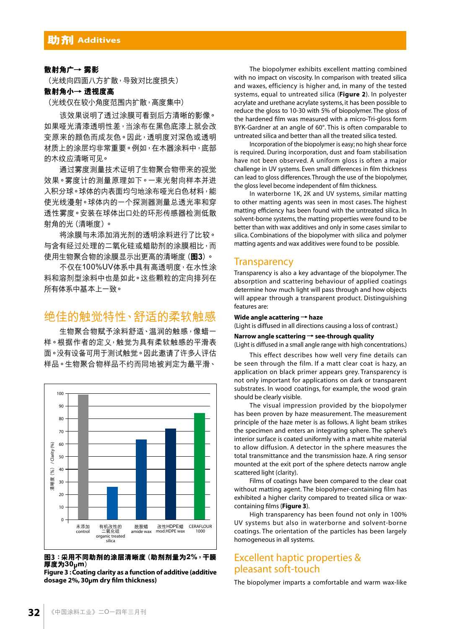#### 散射角广→ 雾影

(光线向四面八方扩散,导致对比度损失)

#### **散射角小→ 透視度高**

(光线仅在较小角度范围内扩散,高度集中)

该效果说明了透过涂膜可看到后方清晰的影像。 如果哑光清漆透明性差,当涂布在黑色底漆上就会改 变原来的颜色而成灰色。因此,透明度对深色或透明 材質上的塗層均非常重要。例如,在木器塗料中,底部 的木纹应清晰可见。

通过雾度测量技术证明了生物聚合物带来的视觉 效果。雾度计的测量原理如下。一束光射向样本并进 入积分球。球体的内表面均匀地涂布哑光白色材料,能 使光线漫射。球体内的一个探测器测量总透光率和穿 透性雾度。安装在球体出口处的环形传感器检测低散 射角的光(清晰度)。

将涂膜与未添加消光剂的透明涂料进行了比较。 与含有经过处理的二氧化硅或蜡助剂的涂膜相比,而 使用生物聚合物的塗膜顯示出更高的清晰度(**圖**3)。

不仅在100%UV体系中具有高透明度,在水性涂 料和溶劑型塗料中也是如此。這些顆粒的定向排列在 所有体系中基本上一致。

# 绝佳的触觉特性、舒适的柔软触感

生物聚合物赋予涂料舒适、温润的触感,像蜡一 样。根据作者的定义,触觉为具有柔软触感的平滑表 面。没有设备可用于测试触觉。因此邀请了许多人评估 样品。生物聚合物样品不约而同地被判定为最平滑、



图3:采用不同助剂的涂层清晰度(助剂剂量为2%,干膜 **厚度為30**µ**m)**

**Figure 3 : Coating clarity as a function of additive (additive** 

The biopolymer exhibits excellent matting combined with no impact on viscosity. In comparison with treated silica and waxes, efficiency is higher and, in many of the tested systems, equal to untreated silica (**Figure 2**). In polyester acrylate and urethane acrylate systems, it has been possible to reduce the gloss to 10-30 with 5% of biopolymer. The gloss of the hardened film was measured with a micro-Tri-gloss form BYK-Gardner at an angle of 60°. This is often comparable to untreated silica and better than all the treated silica tested.

Incorporation of the biopolymer is easy; no high shear force is required. During incorporation, dust and foam stabilisation have not been observed. A uniform gloss is often a major challenge in UV systems. Even small differences in film thickness can lead to gloss differences. Through the use of the biopolymer, the gloss level become independent of film thickness.

In waterborne 1K, 2K and UV systems, similar matting to other matting agents was seen in most cases. The highest matting efficiency has been found with the untreated silica. In solvent-borne systems, the matting properties were found to be better than with wax additives and only in some cases similar to silica. Combinations of the biopolymer with silica and polymer matting agents and wax additives were found to be possible.

#### **Transparency**

Transparency is also a key advantage of the biopolymer. The absorption and scattering behaviour of applied coatings determine how much light will pass through and how objects will appear through a transparent product. Distinguishing features are:

#### **Wide angle acattering → haze**

(Light is diffused in all directions causing a loss of contrast.)

#### **Narrow angle scattering → see-through quality**

(Light is diffused in a small angle range with high concentrations.)

This effect describes how well very fine details can be seen through the film. If a matt clear coat is hazy, an application on black primer appears grey. Transparency is not only important for applications on dark or transparent substrates. In wood coatings, for example, the wood grain should be clearly visible.

The visual impression provided by the biopolymer has been proven by haze measurement. The measurement principle of the haze meter is as follows. A light beam strikes the specimen and enters an integrating sphere. The sphere's interior surface is coated uniformly with a matt white material to allow diffusion. A detector in the sphere measures the total transmittance and the transmission haze. A ring sensor mounted at the exit port of the sphere detects narrow angle scattered light (clarity).

Films of coatings have been compared to the clear coat without matting agent. The biopolymer-containing film has exhibited a higher clarity compared to treated silica or waxcontaining films (**Figure 3**).

High transparency has been found not only in 100% UV systems but also in waterborne and solvent-borne coatings. The orientation of the particles has been largely homogeneous in all systems.

### Excellent haptic properties & pleasant soft-touch

The biopolymer imparts a comfortable and warm wax-like